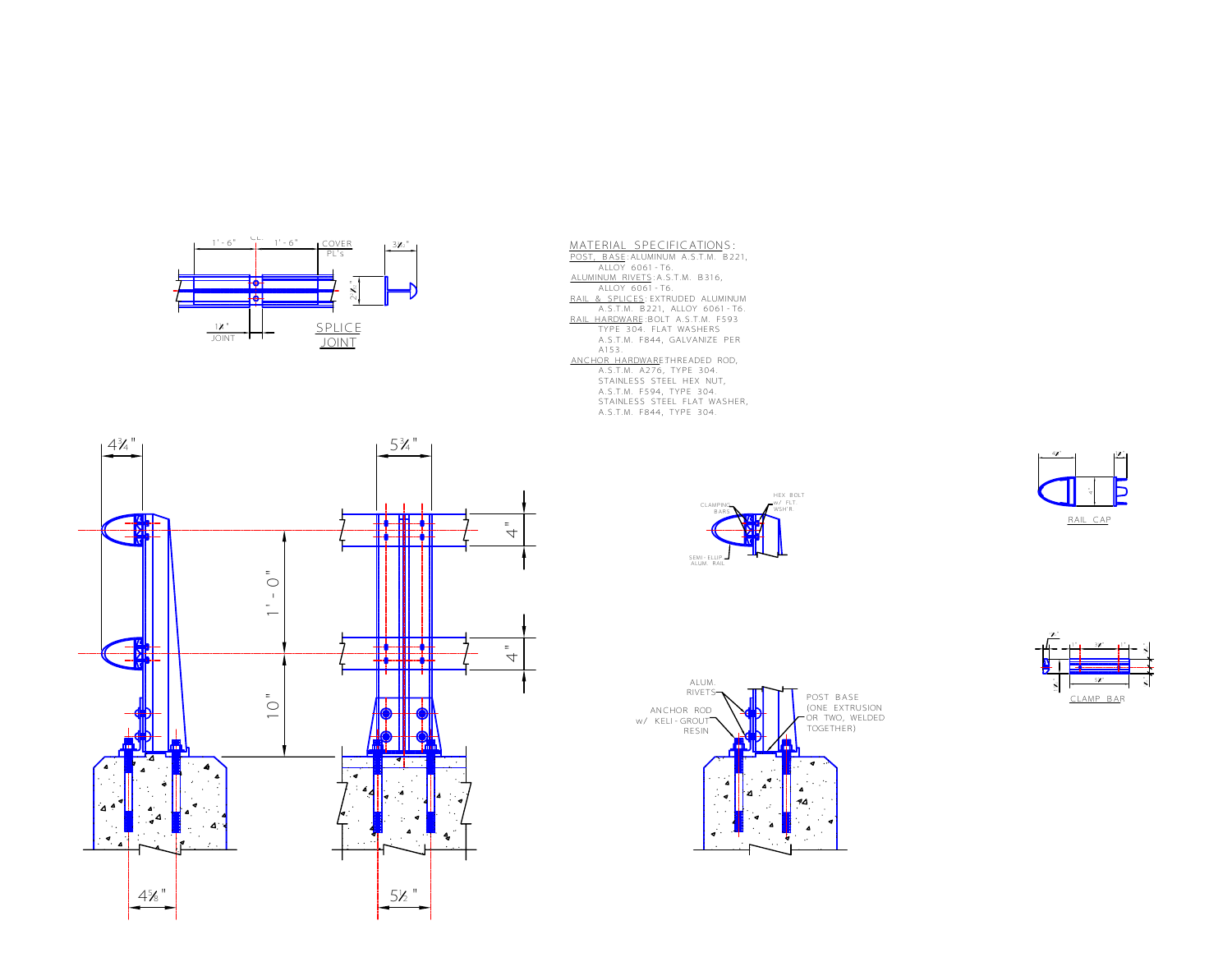



 $CLA$ BARS

SEMI-ELLIP. ALUM. RAIL

HEX BOLT w/ FLT. WSH'R.





<u>17</u> <sup>4</sup> "

Ь